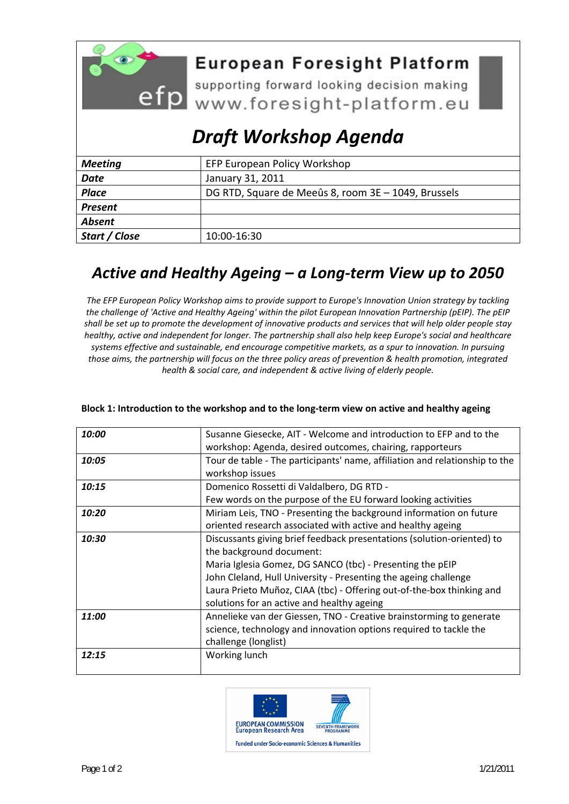

## **European Foresight Platform**

efp supporting forward looking decision making

# *Draft Workshop Agenda*

| <b>Meeting</b> | EFP European Policy Workshop                        |
|----------------|-----------------------------------------------------|
| <b>Date</b>    | January 31, 2011                                    |
| <b>Place</b>   | DG RTD, Square de Meeûs 8, room 3E - 1049, Brussels |
| <b>Present</b> |                                                     |
| <b>Absent</b>  |                                                     |
| Start / Close  | 10:00-16:30                                         |

### *Active and Healthy Ageing – a Long‐term View up to 2050*

*The EFP European Policy Workshop aims to provide support to Europe's Innovation Union strategy by tackling the challenge of 'Active and Healthy Ageing' within the pilot European Innovation Partnership (pEIP). The pEIP* shall be set up to promote the development of innovative products and services that will help older people stay *healthy, active and independent for longer. The partnership shall also help keep Europe's social and healthcare systems effective and sustainable, end encourage competitive markets, as a spur to innovation. In pursuing* those aims, the partnership will focus on the three policy areas of prevention & health promotion, integrated *health & social care, and independent & active living of elderly people.*

| 10:00 | Susanne Giesecke, AIT - Welcome and introduction to EFP and to the          |
|-------|-----------------------------------------------------------------------------|
|       | workshop: Agenda, desired outcomes, chairing, rapporteurs                   |
| 10:05 | Tour de table - The participants' name, affiliation and relationship to the |
|       | workshop issues                                                             |
| 10:15 | Domenico Rossetti di Valdalbero, DG RTD -                                   |
|       | Few words on the purpose of the EU forward looking activities               |
| 10:20 | Miriam Leis, TNO - Presenting the background information on future          |
|       | oriented research associated with active and healthy ageing                 |
| 10:30 | Discussants giving brief feedback presentations (solution-oriented) to      |
|       | the background document:                                                    |
|       | Maria Iglesia Gomez, DG SANCO (tbc) - Presenting the pEIP                   |
|       | John Cleland, Hull University - Presenting the ageing challenge             |
|       | Laura Prieto Muñoz, CIAA (tbc) - Offering out-of-the-box thinking and       |
|       | solutions for an active and healthy ageing                                  |
| 11:00 | Annelieke van der Giessen, TNO - Creative brainstorming to generate         |
|       | science, technology and innovation options required to tackle the           |
|       | challenge (longlist)                                                        |
| 12:15 | Working lunch                                                               |
|       |                                                                             |

#### **Block 1: Introduction to the workshop and to the long‐term view on active and healthy ageing**